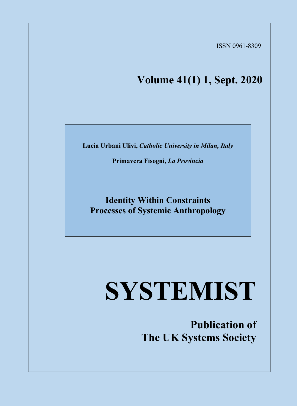ISSN 0961-8309

## **Volume 41(1) 1, Sept. 2020**

**Lucia Urbani Ulivi,** *Catholic University in Milan, Italy*

**Primavera Fisogni,** *La Provincia*

**Identity Within Constraints Processes of Systemic Anthropology**

# **SYSTEMIST**

**Publication of The UK Systems Society**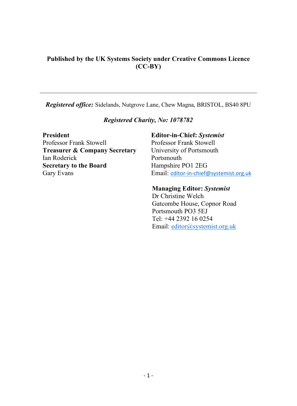#### **Published by the UK Systems Society under Creative Commons Licence (CC-BY)**

*Registered office:* Sidelands, Nutgrove Lane, Chew Magna, BRISTOL, BS40 8PU

#### *Registered Charity, No: 1078782*

**President Editor-in-Chief:** *Systemist* Professor Frank Stowell Professor Frank Stowell **Treasurer & Company Secretary** University of Portsmouth Ian Roderick Portsmouth **Secretary to the Board** Hampshire PO1 2EG<br>Gary Evans Email: editor-in-chief (*Cary Evans* 

Email: e[ditor-in-chief@systemist.org.uk](mailto:editor-in-chief@systemist.org.uk)

#### **Managing Editor:** *Systemist*

Dr Christine Welch Gatcombe House, Copnor Road Portsmouth PO3 5EJ Tel: +44 2392 16 0254 Email: [editor@systemist.org.uk](mailto:editor@systemist.org.uk)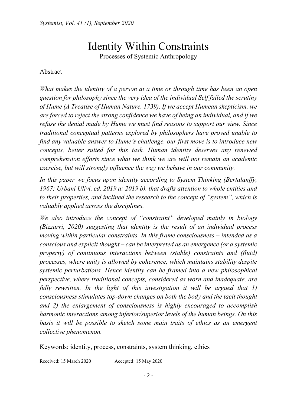## Identity Within Constraints

Processes of Systemic Anthropology

#### Abstract

*What makes the identity of a person at a time or through time has been an open question for philosophy since the very idea of the individual Self failed the scrutiny of Hume (A Treatise of Human Nature, 1739). If we accept Humean skepticism, we are forced to reject the strong confidence we have of being an individual, and if we refuse the denial made by Hume we must find reasons to support our view. Since traditional conceptual patterns explored by philosophers have proved unable to find any valuable answer to Hume's challenge, our first move is to introduce new concepts, better suited for this task. Human identity deserves any renewed comprehension efforts since what we think we are will not remain an academic exercise, but will strongly influence the way we behave in our community.* 

*In this paper we focus upon identity according to System Thinking (Bertalanffy, 1967; Urbani Ulivi, ed. 2019 a; 2019 b), that drafts attention to whole entities and to their properties, and inclined the research to the concept of "system", which is valuably applied across the disciplines.*

*We also introduce the concept of "constraint" developed mainly in biology (Bizzarri, 2020) suggesting that identity is the result of an individual process moving within particular constraints. In this frame consciousness – intended as a conscious and explicit thought – can be interpreted as an emergence (or a systemic property) of continuous interactions between (stable) constraints and (fluid) processes, where unity is allowed by coherence, which maintains stability despite systemic perturbations. Hence identity can be framed into a new philosophical perspective, where traditional concepts, considered as worn and inadequate, are fully rewritten. In the light of this investigation it will be argued that 1) consciousness stimulates top-down changes on both the body and the tacit thought and 2) the enlargement of consciousness is highly encouraged to accomplish harmonic interactions among inferior/superior levels of the human beings. On this basis it will be possible to sketch some main traits of ethics as an emergent collective phenomenon.*

Keywords: identity, process, constraints, system thinking, ethics

Received: 15 March 2020 Accepted: 15 May 2020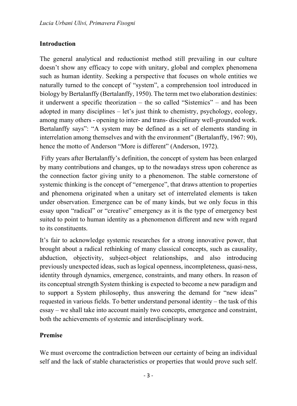#### **Introduction**

The general analytical and reductionist method still prevailing in our culture doesn't show any efficacy to cope with unitary, global and complex phenomena such as human identity. Seeking a perspective that focuses on whole entities we naturally turned to the concept of "system", a comprehension tool introduced in biology by Bertalanffy (Bertalanffy, 1950). The term met two elaboration destinies: it underwent a specific theorization – the so called "Sistemics" – and has been adopted in many disciplines – let's just think to chemistry, psychology, ecology, among many others - opening to inter- and trans- disciplinary well-grounded work. Bertalanffy says": "A system may be defined as a set of elements standing in interrelation among themselves and with the environment" (Bertalanffy, 1967: 90), hence the motto of Anderson "More is different" (Anderson, 1972).

Fifty years after Bertalanffy's definition, the concept of system has been enlarged by many contributions and changes, up to the nowadays stress upon coherence as the connection factor giving unity to a phenomenon. The stable cornerstone of systemic thinking is the concept of "emergence", that draws attention to properties and phenomena originated when a unitary set of interrelated elements is taken under observation. Emergence can be of many kinds, but we only focus in this essay upon "radical" or "creative" emergency as it is the type of emergency best suited to point to human identity as a phenomenon different and new with regard to its constituents.

It's fair to acknowledge systemic researches for a strong innovative power, that brought about a radical rethinking of many classical concepts, such as causality, abduction, objectivity, subject-object relationships, and also introducing previously unexpected ideas, such as logical openness, incompleteness, quasi-ness, identity through dynamics, emergence, constraints, and many others. In reason of its conceptual strength System thinking is expected to become a new paradigm and to support a System philosophy, thus answering the demand for "new ideas" requested in various fields. To better understand personal identity – the task of this essay – we shall take into account mainly two concepts, emergence and constraint, both the achievements of systemic and interdisciplinary work.

#### **Premise**

We must overcome the contradiction between our certainty of being an individual self and the lack of stable characteristics or properties that would prove such self.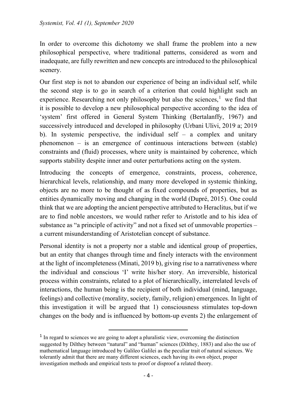In order to overcome this dichotomy we shall frame the problem into a new philosophical perspective, where traditional patterns, considered as worn and inadequate, are fully rewritten and new concepts are introduced to the philosophical scenery.

Our first step is not to abandon our experience of being an individual self, while the second step is to go in search of a criterion that could highlight such an experience. Researching not only philosophy but also the sciences, $<sup>1</sup>$  $<sup>1</sup>$  $<sup>1</sup>$  we find that</sup> it is possible to develop a new philosophical perspective according to the idea of 'system' first offered in General System Thinking (Bertalanffy, 1967) and successively introduced and developed in philosophy (Urbani Ulivi, 2019 a; 2019 b). In systemic perspective, the individual self  $-$  a complex and unitary phenomenon – is an emergence of continuous interactions between (stable) constraints and (fluid) processes, where unity is maintained by coherence, which supports stability despite inner and outer perturbations acting on the system.

Introducing the concepts of emergence, constraints, process, coherence, hierarchical levels, relationship, and many more developed in systemic thinking, objects are no more to be thought of as fixed compounds of properties, but as entities dynamically moving and changing in the world (Dupré, 2015). One could think that we are adopting the ancient perspective attributed to Heraclitus, but if we are to find noble ancestors, we would rather refer to Aristotle and to his idea of substance as "a principle of activity" and not a fixed set of unmovable properties – a current misunderstanding of Aristotelian concept of substance.

Personal identity is not a property nor a stable and identical group of properties, but an entity that changes through time and finely interacts with the environment at the light of incompleteness (Minati, 2019 b), giving rise to a narrativeness where the individual and conscious 'I' write his/her story. An irreversible, historical process within constraints, related to a plot of hierarchically, interrelated levels of interactions, the human being is the recipient of both individual (mind, language, feelings) and collective (morality, society, family, religion) emergences. In light of this investigation it will be argued that 1) consciousness stimulates top-down changes on the body and is influenced by bottom-up events 2) the enlargement of

<span id="page-5-0"></span><sup>&</sup>lt;sup>1</sup> In regard to sciences we are going to adopt a pluralistic view, overcoming the distinction suggested by Dilthey between "natural" and "human" sciences (Dilthey, 1883) and also the use of mathematical language introduced by Galileo Galilei as the peculiar trait of natural sciences. We tolerantly admit that there are many different sciences, each having its own object, proper investigation methods and empirical tests to proof or disproof a related theory.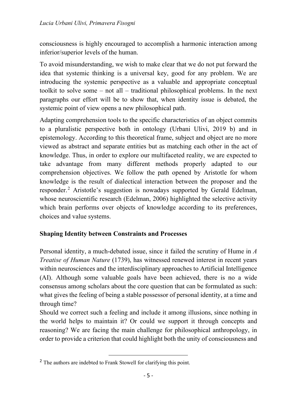consciousness is highly encouraged to accomplish a harmonic interaction among inferior/superior levels of the human.

To avoid misunderstanding, we wish to make clear that we do not put forward the idea that systemic thinking is a universal key, good for any problem. We are introducing the systemic perspective as a valuable and appropriate conceptual toolkit to solve some – not all – traditional philosophical problems. In the next paragraphs our effort will be to show that, when identity issue is debated, the systemic point of view opens a new philosophical path.

Adapting comprehension tools to the specific characteristics of an object commits to a pluralistic perspective both in ontology (Urbani Ulivi, 2019 b) and in epistemology. According to this theoretical frame, subject and object are no more viewed as abstract and separate entities but as matching each other in the act of knowledge. Thus, in order to explore our multifaceted reality, we are expected to take advantage from many different methods properly adapted to our comprehension objectives. We follow the path opened by Aristotle for whom knowledge is the result of dialectical interaction between the proposer and the responder.<sup>[2](#page-6-0)</sup> Aristotle's suggestion is nowadays supported by Gerald Edelman, whose neuroscientific research (Edelman, 2006) highlighted the selective activity which brain performs over objects of knowledge according to its preferences, choices and value systems.

### **Shaping Identity between Constraints and Processes**

Personal identity, a much-debated issue, since it failed the scrutiny of Hume in *A Treatise of Human Nature* (1739), has witnessed renewed interest in recent years within neurosciences and the interdisciplinary approaches to Artificial Intelligence (AI). Although some valuable goals have been achieved, there is no a wide consensus among scholars about the core question that can be formulated as such: what gives the feeling of being a stable possessor of personal identity, at a time and through time?

Should we correct such a feeling and include it among illusions, since nothing in the world helps to maintain it? Or could we support it through concepts and reasoning? We are facing the main challenge for philosophical anthropology, in order to provide a criterion that could highlight both the unity of consciousness and

<span id="page-6-0"></span><sup>&</sup>lt;sup>2</sup> The authors are indebted to Frank Stowell for clarifying this point.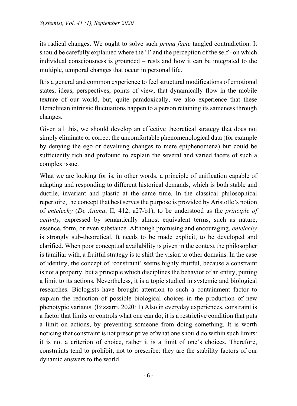its radical changes. We ought to solve such *prima facie* tangled contradiction. It should be carefully explained where the 'I' and the perception of the self - on which individual consciousness is grounded – rests and how it can be integrated to the multiple, temporal changes that occur in personal life.

It is a general and common experience to feel structural modifications of emotional states, ideas, perspectives, points of view, that dynamically flow in the mobile texture of our world, but, quite paradoxically, we also experience that these Heraclitean intrinsic fluctuations happen to a person retaining its sameness through changes.

Given all this, we should develop an effective theoretical strategy that does not simply eliminate or correct the uncomfortable phenomenological data (for example by denying the ego or devaluing changes to mere epiphenomena) but could be sufficiently rich and profound to explain the several and varied facets of such a complex issue.

What we are looking for is, in other words, a principle of unification capable of adapting and responding to different historical demands, which is both stable and ductile, invariant and plastic at the same time. In the classical philosophical repertoire, the concept that best serves the purpose is provided by Aristotle's notion of *entelechy* (*De Anima*, II, 412, a27-b1), to be understood as the *principle of activity*, expressed by semantically almost equivalent terms, such as nature, essence, form, or even substance. Although promising and encouraging, *entelechy* is strongly sub-theoretical. It needs to be made explicit, to be developed and clarified. When poor conceptual availability is given in the context the philosopher is familiar with, a fruitful strategy is to shift the vision to other domains. In the case of identity, the concept of 'constraint' seems highly fruitful, because a constraint is not a property, but a principle which disciplines the behavior of an entity, putting a limit to its actions. Nevertheless, it is a topic studied in systemic and biological researches. Biologists have brought attention to such a containment factor to explain the reduction of possible biological choices in the production of new phenotypic variants. (Bizzarri, 2020: 1) Also in everyday experiences, constraint is a factor that limits or controls what one can do; it is a restrictive condition that puts a limit on actions, by preventing someone from doing something. It is worth noticing that constraint is not prescriptive of what one should do within such limits: it is not a criterion of choice, rather it is a limit of one's choices. Therefore, constraints tend to prohibit, not to prescribe: they are the stability factors of our dynamic answers to the world.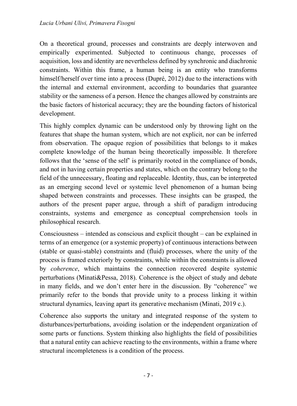On a theoretical ground, processes and constraints are deeply interwoven and empirically experimented. Subjected to continuous change, processes of acquisition, loss and identity are nevertheless defined by synchronic and diachronic constraints. Within this frame, a human being is an entity who transforms himself/herself over time into a process (Dupré, 2012) due to the interactions with the internal and external environment, according to boundaries that guarantee stability or the sameness of a person. Hence the changes allowed by constraints are the basic factors of historical accuracy; they are the bounding factors of historical development.

This highly complex dynamic can be understood only by throwing light on the features that shape the human system, which are not explicit, nor can be inferred from observation. The opaque region of possibilities that belongs to it makes complete knowledge of the human being theoretically impossible. It therefore follows that the 'sense of the self' is primarily rooted in the compliance of bonds, and not in having certain properties and states, which on the contrary belong to the field of the unnecessary, floating and replaceable. Identity, thus, can be interpreted as an emerging second level or systemic level phenomenon of a human being shaped between constraints and processes. These insights can be grasped, the authors of the present paper argue, through a shift of paradigm introducing constraints, systems and emergence as conceptual comprehension tools in philosophical research.

Consciousness – intended as conscious and explicit thought – can be explained in terms of an emergence (or a systemic property) of continuous interactions between (stable or quasi-stable) constraints and (fluid) processes, where the unity of the process is framed exteriorly by constraints, while within the constraints is allowed by *coherence*, which maintains the connection recovered despite systemic perturbations (Minati&Pessa, 2018). Coherence is the object of study and debate in many fields, and we don't enter here in the discussion. By "coherence" we primarily refer to the bonds that provide unity to a process linking it within structural dynamics, leaving apart its generative mechanism (Minati, 2019 c.).

Coherence also supports the unitary and integrated response of the system to disturbances/perturbations, avoiding isolation or the independent organization of some parts or functions. System thinking also highlights the field of possibilities that a natural entity can achieve reacting to the environments, within a frame where structural incompleteness is a condition of the process.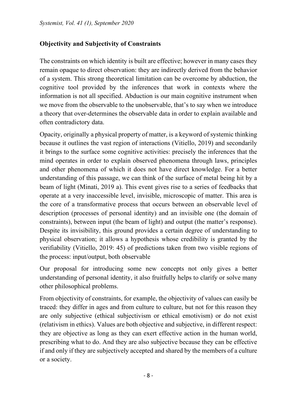### **Objectivity and Subjectivity of Constraints**

The constraints on which identity is built are effective; however in many cases they remain opaque to direct observation: they are indirectly derived from the behavior of a system. This strong theoretical limitation can be overcome by abduction, the cognitive tool provided by the inferences that work in contexts where the information is not all specified. Abduction is our main cognitive instrument when we move from the observable to the unobservable, that's to say when we introduce a theory that over-determines the observable data in order to explain available and often contradictory data.

Opacity, originally a physical property of matter, is a keyword of systemic thinking because it outlines the vast region of interactions (Vitiello, 2019) and secondarily it brings to the surface some cognitive activities: precisely the inferences that the mind operates in order to explain observed phenomena through laws, principles and other phenomena of which it does not have direct knowledge. For a better understanding of this passage, we can think of the surface of metal being hit by a beam of light (Minati, 2019 a). This event gives rise to a series of feedbacks that operate at a very inaccessible level, invisible, microscopic of matter. This area is the core of a transformative process that occurs between an observable level of description (processes of personal identity) and an invisible one (the domain of constraints), between input (the beam of light) and output (the matter's response). Despite its invisibility, this ground provides a certain degree of understanding to physical observation; it allows a hypothesis whose credibility is granted by the verifiability (Vitiello, 2019: 45) of predictions taken from two visible regions of the process: input/output, both observable

Our proposal for introducing some new concepts not only gives a better understanding of personal identity, it also fruitfully helps to clarify or solve many other philosophical problems.

From objectivity of constraints, for example, the objectivity of values can easily be traced: they differ in ages and from culture to culture, but not for this reason they are only subjective (ethical subjectivism or ethical emotivism) or do not exist (relativism in ethics). Values are both objective and subjective, in different respect: they are objective as long as they can exert effective action in the human world, prescribing what to do. And they are also subjective because they can be effective if and only if they are subjectively accepted and shared by the members of a culture or a society.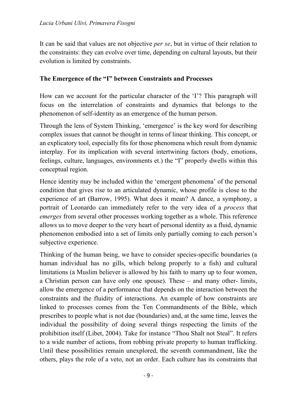It can be said that values are not objective *per se*, but in virtue of their relation to the constraints: they can evolve over time, depending on cultural layouts, but their evolution is limited by constraints.

#### **The Emergence of the "I" between Constraints and Processes**

How can we account for the particular character of the 'I'? This paragraph will focus on the interrelation of constraints and dynamics that belongs to the phenomenon of self-identity as an emergence of the human person.

Through the lens of System Thinking, 'emergence' is the key word for describing complex issues that cannot be thought in terms of linear thinking. This concept, or an explicatory tool, especially fits for those phenomena which result from dynamic interplay. For its implication with several intertwining factors (body, emotions, feelings, culture, languages, environments et.) the "I" properly dwells within this conceptual region.

Hence identity may be included within the 'emergent phenomena' of the personal condition that gives rise to an articulated dynamic, whose profile is close to the experience of art (Barrow, 1995). What does it mean? A dance, a symphony, a portrait of Leonardo can immediately refer to the very idea of a *process* that *emerges* from several other processes working together as a whole. This reference allows us to move deeper to the very heart of personal identity as a fluid, dynamic phenomenon embodied into a set of limits only partially coming to each person's subjective experience.

Thinking of the human being, we have to consider species-specific boundaries (a human individual has no gills, which belong properly to a fish) and cultural limitations (a Muslim believer is allowed by his faith to marry up to four women, a Christian person can have only one spouse). These – and many other- limits, allow the emergence of a performance that depends on the interaction between the constraints and the fluidity of interactions. An example of how constraints are linked to processes comes from the Ten Commandments of the Bible, which prescribes to people what is not due (boundaries) and, at the same time, leaves the individual the possibility of doing several things respecting the limits of the prohibition itself (Libet, 2004). Take for instance "Thou Shalt not Steal". It refers to a wide number of actions, from robbing private property to human trafficking. Until these possibilities remain unexplored, the seventh commandment, like the others, plays the role of a veto, not an order. Each culture has its constraints that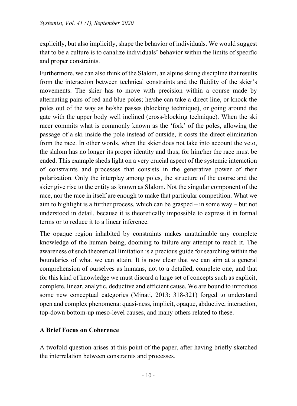explicitly, but also implicitly, shape the behavior of individuals. We would suggest that to be a culture is to canalize individuals' behavior within the limits of specific and proper constraints.

Furthermore, we can also think of the Slalom, an alpine skiing discipline that results from the interaction between technical constraints and the fluidity of the skier's movements. The skier has to move with precision within a course made by alternating pairs of red and blue poles; he/she can take a direct line, or knock the poles out of the way as he/she passes (blocking technique), or going around the gate with the upper body well inclined (cross-blocking technique). When the ski racer commits what is commonly known as the 'fork' of the poles, allowing the passage of a ski inside the pole instead of outside, it costs the direct elimination from the race. In other words, when the skier does not take into account the veto, the slalom has no longer its proper identity and thus, for him/her the race must be ended. This example sheds light on a very crucial aspect of the systemic interaction of constraints and processes that consists in the generative power of their polarization. Only the interplay among poles, the structure of the course and the skier give rise to the entity as known as Slalom. Not the singular component of the race, nor the race in itself are enough to make that particular competition. What we aim to highlight is a further process, which can be grasped – in some way – but not understood in detail, because it is theoretically impossible to express it in formal terms or to reduce it to a linear inference.

The opaque region inhabited by constraints makes unattainable any complete knowledge of the human being, dooming to failure any attempt to reach it. The awareness of such theoretical limitation is a precious guide for searching within the boundaries of what we can attain. It is now clear that we can aim at a general comprehension of ourselves as humans, not to a detailed, complete one, and that for this kind of knowledge we must discard a large set of concepts such as explicit, complete, linear, analytic, deductive and efficient cause. We are bound to introduce some new conceptual categories (Minati, 2013: 318-321) forged to understand open and complex phenomena: quasi-ness, implicit, opaque, abductive, interaction, top-down bottom-up meso-level causes, and many others related to these.

### **A Brief Focus on Coherence**

A twofold question arises at this point of the paper, after having briefly sketched the interrelation between constraints and processes.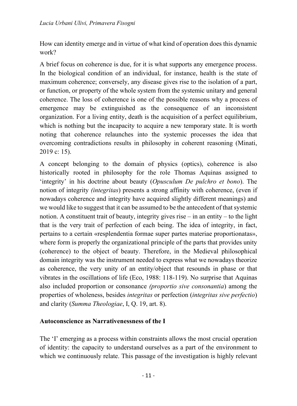How can identity emerge and in virtue of what kind of operation does this dynamic work?

A brief focus on coherence is due, for it is what supports any emergence process. In the biological condition of an individual, for instance, health is the state of maximum coherence; conversely, any disease gives rise to the isolation of a part, or function, or property of the whole system from the systemic unitary and general coherence. The loss of coherence is one of the possible reasons why a process of emergence may be extinguished as the consequence of an inconsistent organization. For a living entity, death is the acquisition of a perfect equilibrium, which is nothing but the incapacity to acquire a new temporary state. It is worth noting that coherence relaunches into the systemic processes the idea that overcoming contradictions results in philosophy in coherent reasoning (Minati, 2019 c: 15).

A concept belonging to the domain of physics (optics), coherence is also historically rooted in philosophy for the role Thomas Aquinas assigned to 'integrity' in his doctrine about beauty (*Opusculum De pulchro et bono*). The notion of integrity *(integritas*) presents a strong affinity with coherence, (even if nowadays coherence and integrity have acquired slightly different meanings) and we would like to suggest that it can be assumed to be the antecedent of that systemic notion. A constituent trait of beauty, integrity gives rise – in an entity – to the light that is the very trait of perfection of each being. The idea of integrity, in fact, pertains to a certain «resplendentia formae super partes materiae proportionatas», where form is properly the organizational principle of the parts that provides unity (coherence) to the object of beauty. Therefore, in the Medieval philosophical domain integrity was the instrument needed to express what we nowadays theorize as coherence, the very unity of an entity/object that resounds in phase or that vibrates in the oscillations of life (Eco, 1988: 118-119). No surprise that Aquinas also included proportion or consonance *(proportio sive consonantia*) among the properties of wholeness, besides *integritas* or perfection (*integritas sive perfectio*) and clarity (*Summa Theologiae*, I, Q. 19, art. 8).

### **Autoconscience as Narrativenessness of the I**

The 'I' emerging as a process within constraints allows the most crucial operation of identity: the capacity to understand ourselves as a part of the environment to which we continuously relate. This passage of the investigation is highly relevant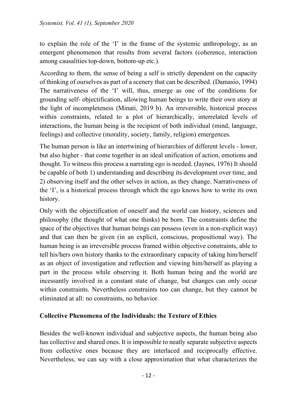to explain the role of the 'I' in the frame of the systemic anthropology, as an emergent phenomenon that results from several factors (coherence, interaction among causalities top-down, bottom-up etc.).

According to them, the sense of being a self is strictly dependent on the capacity of thinking of ourselves as part of a scenery that can be described. (Damasio, 1994) The narrativeness of the 'I' will, thus, emerge as one of the conditions for grounding self- objectification, allowing human beings to write their own story at the light of incompleteness (Minati, 2019 b). An irreversible, historical process within constraints, related to a plot of hierarchically, interrelated levels of interactions, the human being is the recipient of both individual (mind, language, feelings) and collective (morality, society, family, religion) emergences.

The human person is like an intertwining of hierarchies of different levels - lower, but also higher - that come together in an ideal unification of action, emotions and thought. To witness this process a narrating ego is needed. (Jaynes, 1976) It should be capable of both 1) understanding and describing its development over time, and 2) observing itself and the other selves in action, as they change. Narrativeness of the 'I', is a historical process through which the ego knows how to write its own history.

Only with the objectification of oneself and the world can history, sciences and philosophy (the thought of what one thinks) be born. The constraints define the space of the objectives that human beings can possess (even in a non-explicit way) and that can then be given (in an explicit, conscious, propositional way). The human being is an irreversible process framed within objective constraints, able to tell his/hers own history thanks to the extraordinary capacity of taking him/herself as an object of investigation and reflection and viewing him/herself as playing a part in the process while observing it. Both human being and the world are incessantly involved in a constant state of change, but changes can only occur within constraints. Nevertheless constraints too can change, but they cannot be eliminated at all: no constraints, no behavior.

#### **Collective Phenomena of the Individuals: the Texture of Ethics**

Besides the well-known individual and subjective aspects, the human being also has collective and shared ones. It is impossible to neatly separate subjective aspects from collective ones because they are interlaced and reciprocally effective. Nevertheless, we can say with a close approximation that what characterizes the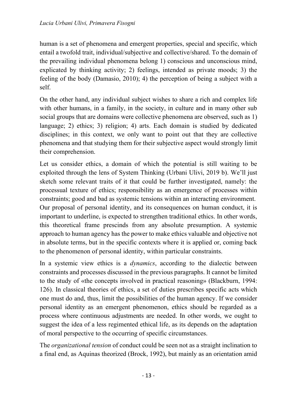human is a set of phenomena and emergent properties, special and specific, which entail a twofold trait, individual/subjective and collective/shared. To the domain of the prevailing individual phenomena belong 1) conscious and unconscious mind, explicated by thinking activity; 2) feelings, intended as private moods; 3) the feeling of the body (Damasio, 2010); 4) the perception of being a subject with a self.

On the other hand, any individual subject wishes to share a rich and complex life with other humans, in a family, in the society, in culture and in many other sub social groups that are domains were collective phenomena are observed, such as 1) language; 2) ethics; 3) religion; 4) arts. Each domain is studied by dedicated disciplines; in this context, we only want to point out that they are collective phenomena and that studying them for their subjective aspect would strongly limit their comprehension.

Let us consider ethics, a domain of which the potential is still waiting to be exploited through the lens of System Thinking (Urbani Ulivi, 2019 b). We'll just sketch some relevant traits of it that could be further investigated, namely: the processual texture of ethics; responsibility as an emergence of processes within constraints; good and bad as systemic tensions within an interacting environment. Our proposal of personal identity, and its consequences on human conduct, it is important to underline, is expected to strengthen traditional ethics. In other words, this theoretical frame prescinds from any absolute presumption. A systemic approach to human agency has the power to make ethics valuable and objective not in absolute terms, but in the specific contexts where it is applied or, coming back to the phenomenon of personal identity, within particular constraints.

In a systemic view ethics is a *dynamics*, according to the dialectic between constraints and processes discussed in the previous paragraphs. It cannot be limited to the study of «the concepts involved in practical reasoning» (Blackburn, 1994: 126). In classical theories of ethics, a set of duties prescribes specific acts which one must do and, thus, limit the possibilities of the human agency. If we consider personal identity as an emergent phenomenon, ethics should be regarded as a process where continuous adjustments are needed. In other words, we ought to suggest the idea of a less regimented ethical life, as its depends on the adaptation of moral perspective to the occurring of specific circumstances.

The *organizational tension* of conduct could be seen not as a straight inclination to a final end, as Aquinas theorized (Brock, 1992), but mainly as an orientation amid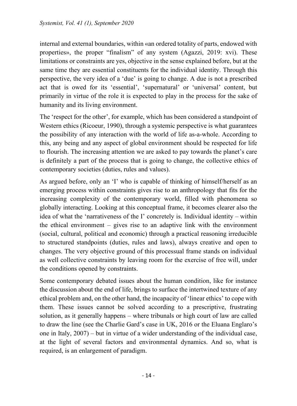internal and external boundaries, within «an ordered totality of parts, endowed with properties», the proper "finalism" of any system (Agazzi, 2019: xvi). These limitations or constraints are yes, objective in the sense explained before, but at the same time they are essential constituents for the individual identity. Through this perspective, the very idea of a 'due' is going to change. A due is not a prescribed act that is owed for its 'essential', 'supernatural' or 'universal' content, but primarily in virtue of the role it is expected to play in the process for the sake of humanity and its living environment.

The 'respect for the other', for example, which has been considered a standpoint of Western ethics (Ricoeur, 1990), through a systemic perspective is what guarantees the possibility of any interaction with the world of life as-a-whole. According to this, any being and any aspect of global environment should be respected for life to flourish. The increasing attention we are asked to pay towards the planet's care is definitely a part of the process that is going to change, the collective ethics of contemporary societies (duties, rules and values).

As argued before, only an 'I' who is capable of thinking of himself/herself as an emerging process within constraints gives rise to an anthropology that fits for the increasing complexity of the contemporary world, filled with phenomena so globally interacting. Looking at this conceptual frame, it becomes clearer also the idea of what the 'narrativeness of the I' concretely is. Individual identity – within the ethical environment – gives rise to an adaptive link with the environment (social, cultural, political and economic) through a practical reasoning irreducible to structured standpoints (duties, rules and laws), always creative and open to changes. The very objective ground of this processual frame stands on individual as well collective constraints by leaving room for the exercise of free will, under the conditions opened by constraints.

Some contemporary debated issues about the human condition, like for instance the discussion about the end of life, brings to surface the intertwined texture of any ethical problem and, on the other hand, the incapacity of 'linear ethics' to cope with them. These issues cannot be solved according to a prescriptive, frustrating solution, as it generally happens – where tribunals or high court of law are called to draw the line (see the Charlie Gard's case in UK, 2016 or the Eluana Englaro's one in Italy, 2007) – but in virtue of a wider understanding of the individual case, at the light of several factors and environmental dynamics. And so, what is required, is an enlargement of paradigm.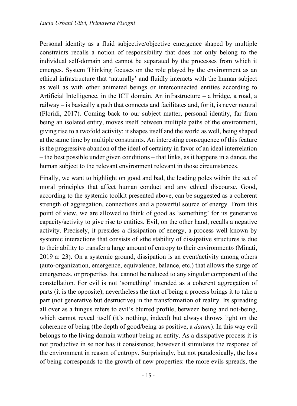Personal identity as a fluid subjective/objective emergence shaped by multiple constraints recalls a notion of responsibility that does not only belong to the individual self-domain and cannot be separated by the processes from which it emerges. System Thinking focuses on the role played by the environment as an ethical infrastructure that 'naturally' and fluidly interacts with the human subject as well as with other animated beings or interconnected entities according to Artificial Intelligence, in the ICT domain. An infrastructure – a bridge, a road, a railway – is basically a path that connects and facilitates and, for it, is never neutral (Floridi, 2017). Coming back to our subject matter, personal identity, far from being an isolated entity, moves itself between multiple paths of the environment, giving rise to a twofold activity: it shapes itself and the world as well, being shaped at the same time by multiple constraints. An interesting consequence of this feature is the progressive abandon of the ideal of certainty in favor of an ideal interrelation – the best possible under given conditions – that links, as it happens in a dance, the human subject to the relevant environment relevant in those circumstances.

Finally, we want to highlight on good and bad, the leading poles within the set of moral principles that affect human conduct and any ethical discourse. Good, according to the systemic toolkit presented above, can be suggested as a coherent strength of aggregation, connections and a powerful source of energy. From this point of view, we are allowed to think of good as 'something' for its generative capacity/activity to give rise to entities. Evil, on the other hand, recalls a negative activity. Precisely, it presides a dissipation of energy, a process well known by systemic interactions that consists of «the stability of dissipative structures is due to their ability to transfer a large amount of entropy to their environment» (Minati, 2019 a: 23). On a systemic ground, dissipation is an event/activity among others (auto-organization, emergence, equivalence, balance, etc.) that allows the surge of emergences, or properties that cannot be reduced to any singular component of the constellation. For evil is not 'something' intended as a coherent aggregation of parts (it is the opposite), nevertheless the fact of being a process brings it to take a part (not generative but destructive) in the transformation of reality. Its spreading all over as a fungus refers to evil's blurred profile, between being and not-being, which cannot reveal itself (it's nothing, indeed) but always throws light on the coherence of being (the depth of good/being as positive, a *datum*). In this way evil belongs to the living domain without being an entity. As a dissipative process it is not productive in se nor has it consistence; however it stimulates the response of the environment in reason of entropy. Surprisingly, but not paradoxically, the loss of being corresponds to the growth of new properties: the more evils spreads, the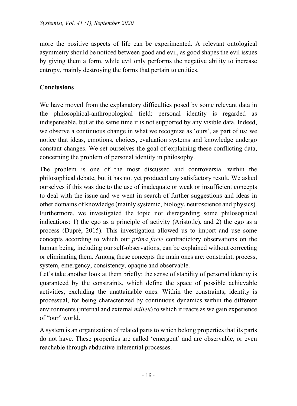more the positive aspects of life can be experimented. A relevant ontological asymmetry should be noticed between good and evil, as good shapes the evil issues by giving them a form, while evil only performs the negative ability to increase entropy, mainly destroying the forms that pertain to entities.

### **Conclusions**

We have moved from the explanatory difficulties posed by some relevant data in the philosophical-anthropological field: personal identity is regarded as indispensable, but at the same time it is not supported by any visible data. Indeed, we observe a continuous change in what we recognize as 'ours', as part of us: we notice that ideas, emotions, choices, evaluation systems and knowledge undergo constant changes. We set ourselves the goal of explaining these conflicting data, concerning the problem of personal identity in philosophy.

The problem is one of the most discussed and controversial within the philosophical debate, but it has not yet produced any satisfactory result. We asked ourselves if this was due to the use of inadequate or weak or insufficient concepts to deal with the issue and we went in search of further suggestions and ideas in other domains of knowledge (mainly systemic, biology, neuroscience and physics). Furthermore, we investigated the topic not disregarding some philosophical indications: 1) the ego as a principle of activity (Aristotle), and 2) the ego as a process (Dupré, 2015). This investigation allowed us to import and use some concepts according to which our *prima facie* contradictory observations on the human being, including our self-observations, can be explained without correcting or eliminating them. Among these concepts the main ones are: constraint, process, system, emergency, consistency, opaque and observable.

Let's take another look at them briefly: the sense of stability of personal identity is guaranteed by the constraints, which define the space of possible achievable activities, excluding the unattainable ones. Within the constraints, identity is processual, for being characterized by continuous dynamics within the different environments (internal and external *milieu*) to which it reacts as we gain experience of "our" world.

A system is an organization of related parts to which belong properties that its parts do not have. These properties are called 'emergent' and are observable, or even reachable through abductive inferential processes.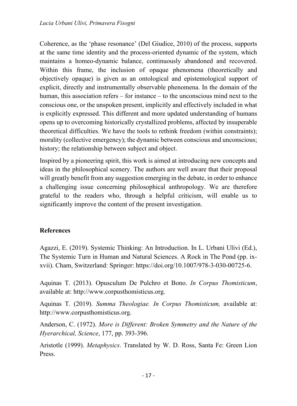Coherence, as the 'phase resonance' (Del Giudice, 2010) of the process, supports at the same time identity and the process-oriented dynamic of the system, which maintains a homeo-dynamic balance, continuously abandoned and recovered. Within this frame, the inclusion of opaque phenomena (theoretically and objectively opaque) is given as an ontological and epistemological support of explicit, directly and instrumentally observable phenomena. In the domain of the human, this association refers – for instance – to the unconscious mind next to the conscious one, or the unspoken present, implicitly and effectively included in what is explicitly expressed. This different and more updated understanding of humans opens up to overcoming historically crystallized problems, affected by insuperable theoretical difficulties. We have the tools to rethink freedom (within constraints); morality (collective emergency); the dynamic between conscious and unconscious; history; the relationship between subject and object.

Inspired by a pioneering spirit, this work is aimed at introducing new concepts and ideas in the philosophical scenery. The authors are well aware that their proposal will greatly benefit from any suggestion emerging in the debate, in order to enhance a challenging issue concerning philosophical anthropology. We are therefore grateful to the readers who, through a helpful criticism, will enable us to significantly improve the content of the present investigation.

### **References**

Agazzi, E. (2019). Systemic Thinking: An Introduction. In L. Urbani Ulivi (Ed.), The Systemic Turn in Human and Natural Sciences. A Rock in The Pond (pp. ixxvii). Cham, Switzerland: Springer: https://doi.org/10.1007/978-3-030-00725-6.

Aquinas T. (2013). Opusculum De Pulchro et Bono. *In Corpus Thomisticum*, available at: http://www.corpusthomisticus.org.

Aquinas T. (2019). *Summa Theologiae. In Corpus Thomisticum,* available at: http://www.corpusthomisticus.org.

Anderson, C. (1972). *More is Different: Broken Symmetry and the Nature of the Hyerarchical, Science*, 177, pp. 393-396.

Aristotle (1999). *Metaphysics*. Translated by W. D. Ross, Santa Fe: Green Lion Press.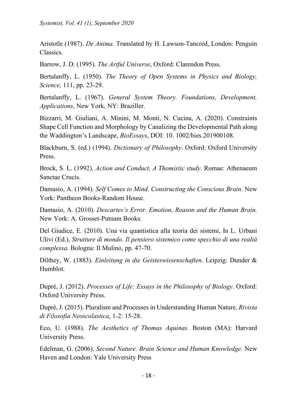Aristotle (1987). *De Anima.* Translated by H. Lawson-Tancred, London: Penguin Classics.

Barrow, J. D. (1995). *The Artful Universe*, Oxford: Clarendon Press.

Bertalanffy, L. (1950). *The Theory of Open Systems in Physics and Biology, Science,* 111, pp. 23-29.

Bertalanffy, L. (1967). *General System Theory. Foundations, Development, Applications*, New York, NY: Braziller.

Bizzarri, M. Giuliani, A. Minini, M. Monti, N. Cucina, A. (2020). Constraints Shape Cell Function and Morphology by Canalizing the Developmental Path along the Waddington's Landscape, *BioEssays*, DOI: 10. 1002/bies.201900108.

Blackburn, S. (ed.) (1994). *Dictionary of Philosophy*. Oxford: Oxford University Press.

Brock, S. L. (1992). *Action and Conduct, A Thomistic study*. Romae: Athenaeum Sanctae Crucis.

Damasio, A. (1994). *Self Comes to Mind. Constructing the Conscious Brain*. New York: Pantheon Books-Random House.

Damasio, A. (2010). *Descartes's Error. Emotion, Reason and the Human Brain.* New York: A. Grosset-Putnam Books.

Del Giudice, E. (2010). Una via quantistica alla teoria dei sistemi, In L. Urbani Ulivi (Ed.), *Strutture di mondo. Il pensiero sistemico come specchio di una realtà complessa.* Bologna: Il Mulino, pp. 47-70.

Dilthey, W. (1883). *Einleitung in die Geisteswissenschaften*. Leipzig: Dunder & Humblot.

Dupré, J. (2012). *Processes of Life: Essays in the Philosophy of Biology*. Oxford: Oxford University Press.

Dupré, J. (2015). Pluralism and Processes in Understanding Human Nature. *Rivista di Filosofia Neoscolastica*, 1-2: 15-28.

Eco, U. (1988). *The Aesthetics of Thomas Aquinas*. Boston (MA): Harvard University Press.

Edelman, G. (2006). *Second Nature. Brain Science and Human Knowledge*. New Haven and London: Yale University Press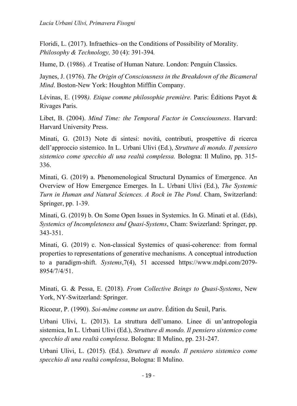Floridi, L. (2017). Infraethics–on the Conditions of Possibility of Morality. *Philosophy & Technology,* 30 (4): 391-394*.*

Hume, D. (1986)*. A* Treatise of Human Nature. London: Penguin Classics.

Jaynes, J. (1976). *The Origin of Consciousness in the Breakdown of the Bicameral Mind*. Boston-New York: Houghton Mifflin Company.

Lévinas, E. (1998*). Etique comme philosophie première.* Paris: Éditions Payot & Rivages Paris.

Libet, B. (2004). *Mind Time: the Temporal Factor in Consciousness*. Harvard: Harvard University Press.

Minati, G. (2013) Note di sintesi: novità, contributi, prospettive di ricerca dell'approccio sistemico. In L. Urbani Ulivi (Ed.), *Strutture di mondo. Il pensiero sistemico come specchio di una realtà complessa.* Bologna: Il Mulino, pp. 315- 336.

Minati, G. (2019) a. Phenomenological Structural Dynamics of Emergence. An Overview of How Emergence Emerges. In L. Urbani Ulivi (Ed.), *The Systemic Turn in Human and Natural Sciences. A Rock in The Pond*. Cham, Switzerland: Springer, pp. 1-39.

Minati, G. (2019) b. On Some Open Issues in Systemics. In G. Minati et al. (Eds), *Systemics of Incompleteness and Quasi-Systems*, Cham: Swizerland: Springer, pp. 343-351.

Minati, G. (2019) c. Non-classical Systemics of quasi-coherence: from formal properties to representations of generative mechanisms. A conceptual introduction to a paradigm-shift. *Systems*,7(4), 51 accessed https://www.mdpi.com/2079- 8954/7/4/51.

Minati, G. & Pessa, E. (2018). *From Collective Beings to Quasi-Systems*, New York, NY-Switzerland: Springer.

Ricoeur, P. (1990). *Soi-même comme un autre*. Édition du Seuil, Paris.

Urbani Ulivi, L. (2013). La struttura dell'umano. Linee di un'antropologia sistemica, In L. Urbani Ulivi (Ed.), *Strutture di mondo. Il pensiero sistemico come specchio di una realtà complessa*. Bologna: Il Mulino, pp. 231-247.

Urbani Ulivi, L. (2015). (Ed.). *Strutture di mondo. Il pensiero sistemico come specchio di una realtà complessa*, Bologna: Il Mulino.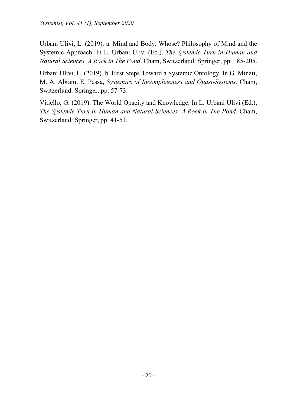Urbani Ulivi, L. (2019). a. Mind and Body. Whose? Philosophy of Mind and the Systemic Approach. In L. Urbani Ulivi (Ed.). *The Systemic Turn in Human and Natural Sciences. A Rock in The Pond*. Cham, Switzerland: Springer, pp. 185-205.

Urbani Ulivi, L. (2019). b. First Steps Toward a Systemic Ontology. In G. Minati, M. A. Abram, E. Pessa, *Systemics of Incompleteness and Quasi-Systems.* Cham, Switzerland: Springer, pp. 57-73.

Vitiello, G. (2019). The World Opacity and Knowledge. In L. Urbani Ulivi (Ed.), *The Systemic Turn in Human and Natural Sciences. A Rock in The Pond.* Cham, Switzerland: Springer, pp. 41-51.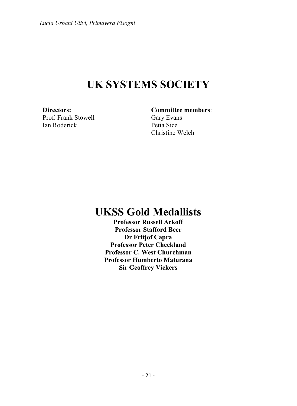## **UK SYSTEMS SOCIETY**

**Directors:**  Prof. Frank Stowell Ian Roderick

**Committee members**: Gary Evans Petia Sice Christine Welch

## **UKSS Gold Medallists**

**Professor Russell Ackoff Professor Stafford Beer Dr Fritjof Capra Professor Peter Checkland Professor C. West Churchman Professor Humberto Maturana Sir Geoffrey Vickers**